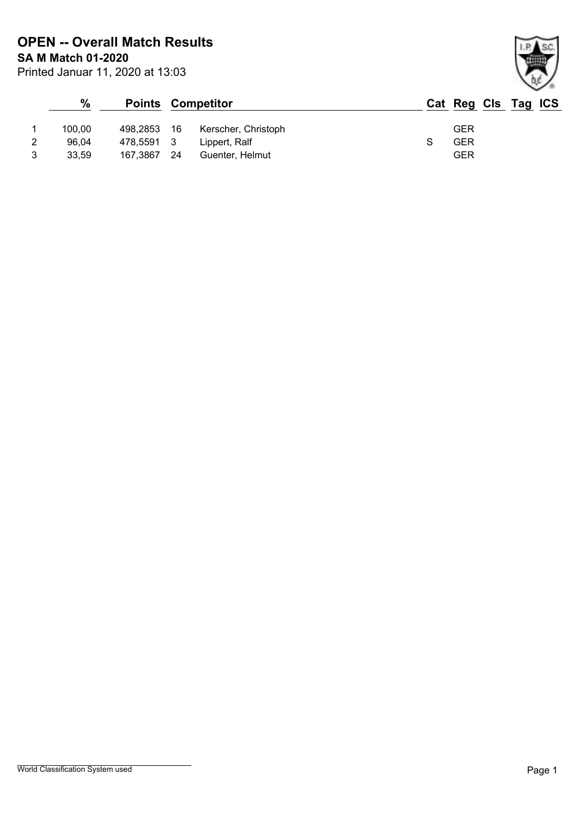Printed Januar 11, 2020 at 13:03 **SA M Match 01-2020 OPEN -- Overall Match Results**

|   | %      |             |     | <b>Points Competitor</b> | Cat Reg Cls Tag ICS |  |  |
|---|--------|-------------|-----|--------------------------|---------------------|--|--|
|   | 100.00 | 498.2853 16 |     | Kerscher, Christoph      | <b>GER</b>          |  |  |
| 2 | 96.04  | 478.5591 3  |     | Lippert, Ralf            | <b>GER</b>          |  |  |
| 3 | 33,59  | 167,3867    | -24 | Guenter, Helmut          | <b>GER</b>          |  |  |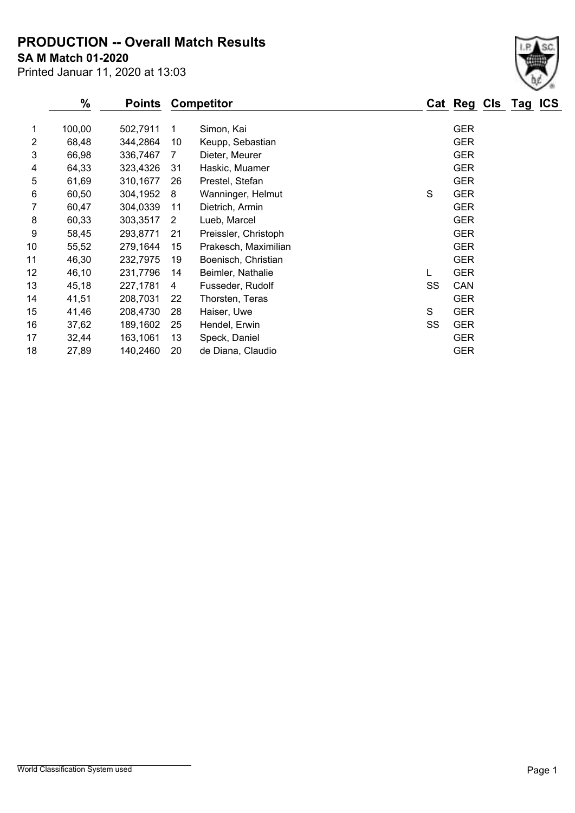**PRODUCTION -- Overall Match Results**

**SA M Match 01-2020**

|    | %      | <b>Points</b> |    | <b>Competitor</b>    |    | Cat Reg Cls Tag ICS |  |  |
|----|--------|---------------|----|----------------------|----|---------------------|--|--|
| 1  | 100,00 | 502,7911      | 1  | Simon, Kai           |    | <b>GER</b>          |  |  |
| 2  | 68,48  | 344,2864      | 10 | Keupp, Sebastian     |    | <b>GER</b>          |  |  |
| 3  | 66,98  | 336,7467      | 7  | Dieter, Meurer       |    | <b>GER</b>          |  |  |
| 4  | 64,33  | 323,4326      | 31 | Haskic, Muamer       |    | <b>GER</b>          |  |  |
| 5  | 61,69  | 310,1677      | 26 | Prestel, Stefan      |    | <b>GER</b>          |  |  |
| 6  | 60,50  | 304,1952      | 8  | Wanninger, Helmut    | S  | <b>GER</b>          |  |  |
| 7  | 60,47  | 304,0339      | 11 | Dietrich, Armin      |    | <b>GER</b>          |  |  |
| 8  | 60,33  | 303,3517      | 2  | Lueb, Marcel         |    | <b>GER</b>          |  |  |
| 9  | 58,45  | 293,8771      | 21 | Preissler, Christoph |    | <b>GER</b>          |  |  |
| 10 | 55,52  | 279,1644      | 15 | Prakesch, Maximilian |    | <b>GER</b>          |  |  |
| 11 | 46,30  | 232,7975      | 19 | Boenisch, Christian  |    | <b>GER</b>          |  |  |
| 12 | 46,10  | 231,7796      | 14 | Beimler, Nathalie    | L  | <b>GER</b>          |  |  |
| 13 | 45,18  | 227,1781      | 4  | Fusseder, Rudolf     | SS | CAN                 |  |  |
| 14 | 41,51  | 208,7031      | 22 | Thorsten, Teras      |    | <b>GER</b>          |  |  |
| 15 | 41,46  | 208,4730      | 28 | Haiser, Uwe          | S  | <b>GER</b>          |  |  |
| 16 | 37,62  | 189,1602      | 25 | Hendel, Erwin        | SS | <b>GER</b>          |  |  |
| 17 | 32,44  | 163,1061      | 13 | Speck, Daniel        |    | <b>GER</b>          |  |  |
| 18 | 27,89  | 140,2460      | 20 | de Diana, Claudio    |    | <b>GER</b>          |  |  |
|    |        |               |    |                      |    |                     |  |  |

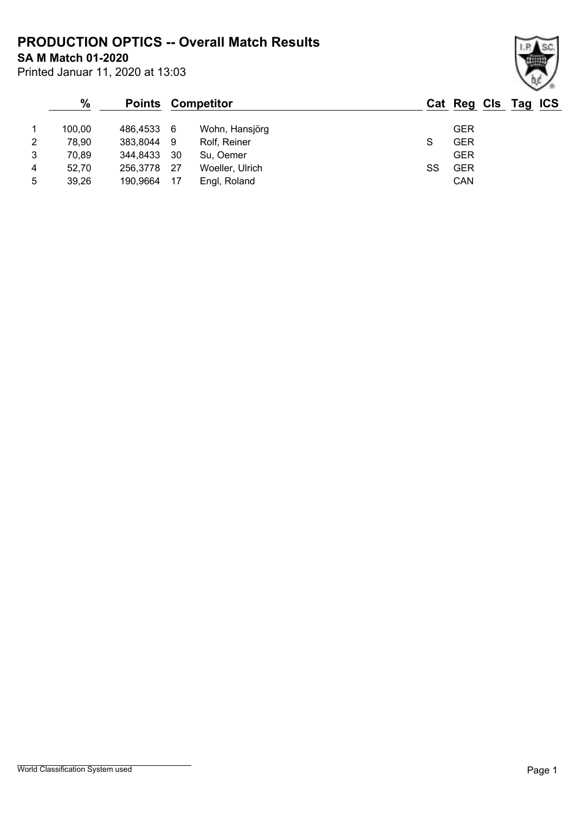**PRODUCTION OPTICS -- Overall Match Results**

**SA M Match 01-2020**

| Printed Januar 11, 2020 at 13:03 |  |  |  |  |
|----------------------------------|--|--|--|--|
|----------------------------------|--|--|--|--|

#### **% Points Competitor Cat Reg Cls Tag ICS** 1 100,00 486,4533 6 Wohn, Hansjörg GER 2 78,90 383,8044 9 Rolf, Reiner S GER 3 70,89 344,8433 30 Su, Oemer GER 4 52,70 256,3778 27 Woeller, Ulrich SS GER 5 39,26 190,9664 17 Engl, Roland CAN

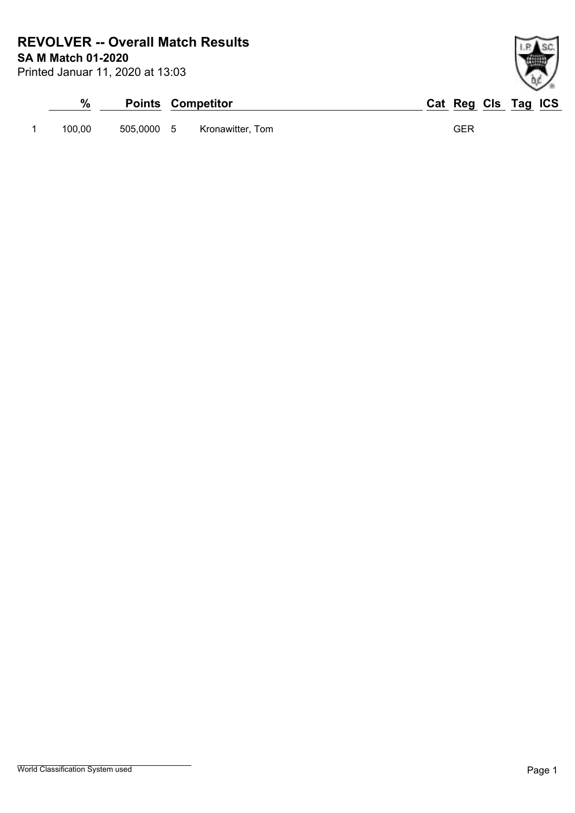**SA M Match 01-2020 REVOLVER -- Overall Match Results**

| Printed Januar 11, 2020 at 13:03 |  |  |
|----------------------------------|--|--|
|                                  |  |  |

| %      |            | <b>Points Competitor</b> | Cat Reg Cls Tag ICS |
|--------|------------|--------------------------|---------------------|
| 100.00 | 505.0000 5 | Kronawitter, Tom         | GER                 |

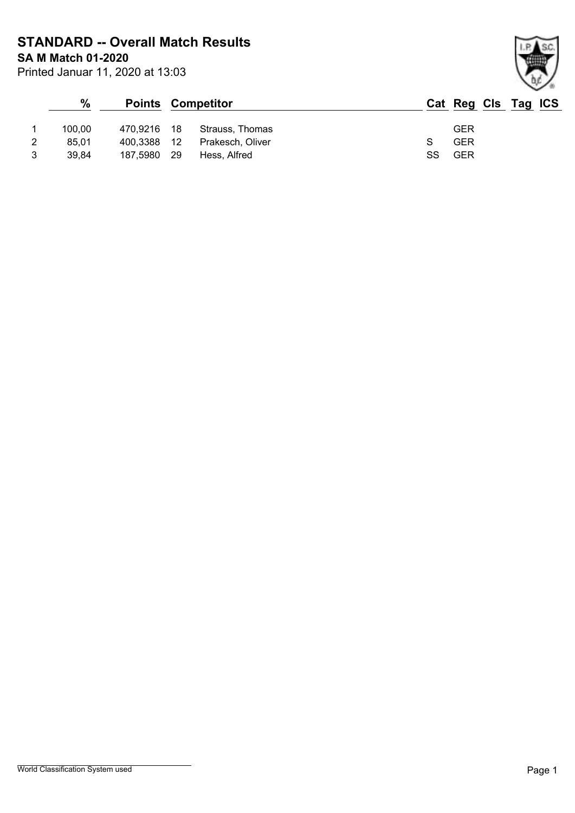**SA M Match 01-2020 STANDARD -- Overall Match Results**

| _                                |  |  |
|----------------------------------|--|--|
| Printed Januar 11, 2020 at 13:03 |  |  |

# **% Points Competitor Cat Reg Cls Tag ICS** 1 100,00 470,9216 18 Strauss, Thomas GER 2 85,01 400,3388 12 Prakesch, Oliver S GER 3 39,84 187,5980 29 Hess, Alfred SS GER